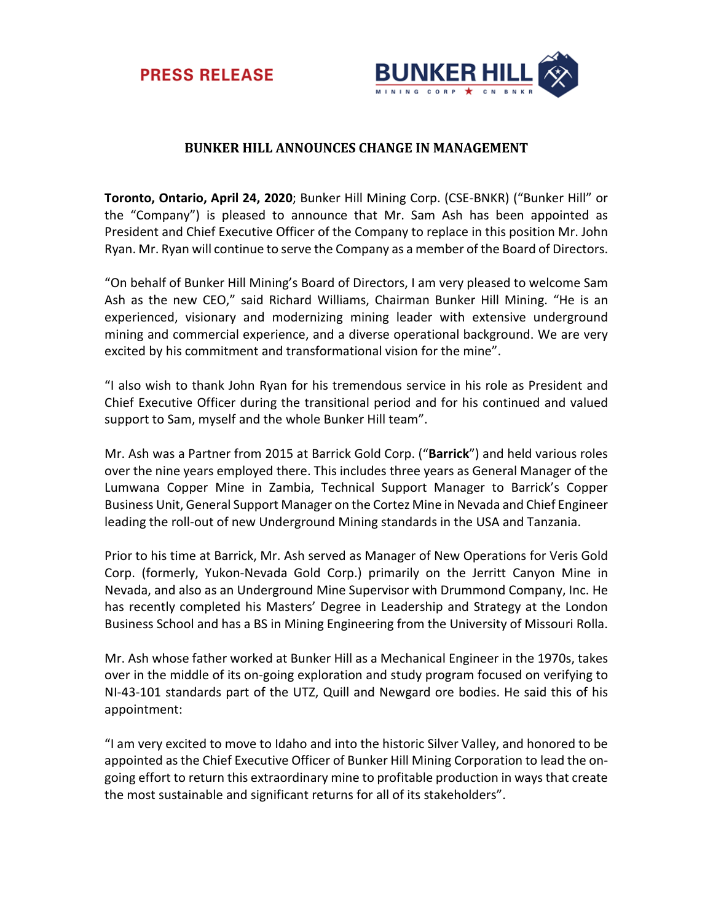**PRESS RELEASE** 



## **BUNKER HILL ANNOUNCES CHANGE IN MANAGEMENT**

**Toronto, Ontario, April 24, 2020**; Bunker Hill Mining Corp. (CSE-BNKR) ("Bunker Hill" or the "Company") is pleased to announce that Mr. Sam Ash has been appointed as President and Chief Executive Officer of the Company to replace in this position Mr. John Ryan. Mr. Ryan will continue to serve the Company as a member of the Board of Directors.

"On behalf of Bunker Hill Mining's Board of Directors, I am very pleased to welcome Sam Ash as the new CEO," said Richard Williams, Chairman Bunker Hill Mining. "He is an experienced, visionary and modernizing mining leader with extensive underground mining and commercial experience, and a diverse operational background. We are very excited by his commitment and transformational vision for the mine".

"I also wish to thank John Ryan for his tremendous service in his role as President and Chief Executive Officer during the transitional period and for his continued and valued support to Sam, myself and the whole Bunker Hill team".

Mr. Ash was a Partner from 2015 at Barrick Gold Corp. ("**Barrick**") and held various roles over the nine years employed there. This includes three years as General Manager of the Lumwana Copper Mine in Zambia, Technical Support Manager to Barrick's Copper Business Unit, General Support Manager on the Cortez Mine in Nevada and Chief Engineer leading the roll-out of new Underground Mining standards in the USA and Tanzania.

Prior to his time at Barrick, Mr. Ash served as Manager of New Operations for Veris Gold Corp. (formerly, Yukon-Nevada Gold Corp.) primarily on the Jerritt Canyon Mine in Nevada, and also as an Underground Mine Supervisor with Drummond Company, Inc. He has recently completed his Masters' Degree in Leadership and Strategy at the London Business School and has a BS in Mining Engineering from the University of Missouri Rolla.

Mr. Ash whose father worked at Bunker Hill as a Mechanical Engineer in the 1970s, takes over in the middle of its on-going exploration and study program focused on verifying to NI-43-101 standards part of the UTZ, Quill and Newgard ore bodies. He said this of his appointment:

"I am very excited to move to Idaho and into the historic Silver Valley, and honored to be appointed as the Chief Executive Officer of Bunker Hill Mining Corporation to lead the ongoing effort to return this extraordinary mine to profitable production in ways that create the most sustainable and significant returns for all of its stakeholders".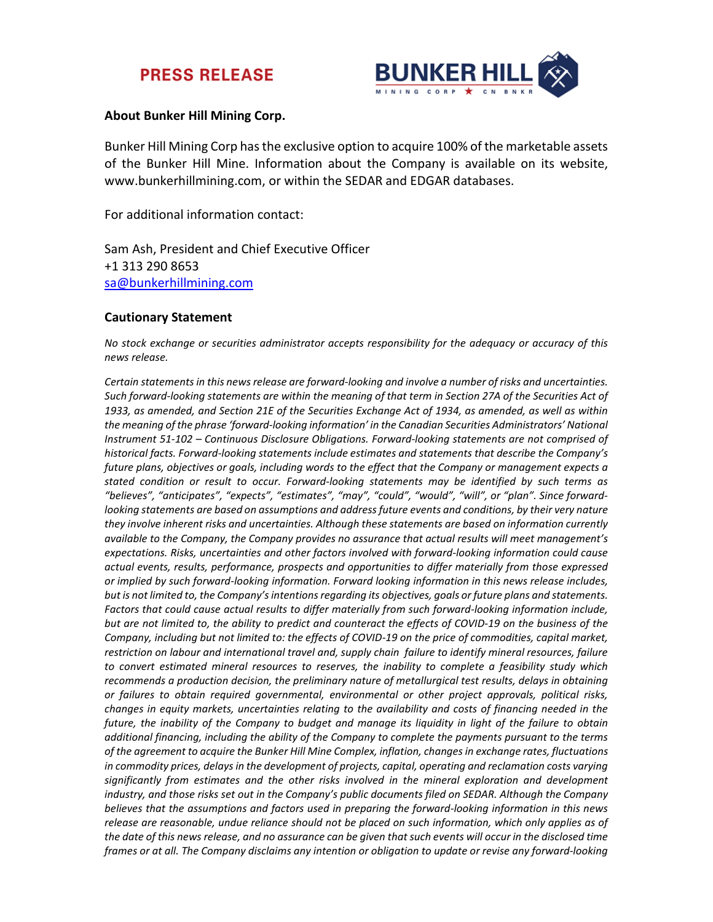## **PRESS RELEASE**



## **About Bunker Hill Mining Corp.**

Bunker Hill Mining Corp has the exclusive option to acquire 100% of the marketable assets of the Bunker Hill Mine. Information about the Company is available on its website, www.bunkerhillmining.com, or within the SEDAR and EDGAR databases.

For additional information contact:

Sam Ash, President and Chief Executive Officer +1 313 290 8653 [sa@bunkerhillmining.com](mailto:sa@bunkerhillmining.com)

## **Cautionary Statement**

*No stock exchange or securities administrator accepts responsibility for the adequacy or accuracy of this news release.*

*Certain statements in this news release are forward-looking and involve a number of risks and uncertainties. Such forward-looking statements are within the meaning of that term in Section 27A of the Securities Act of 1933, as amended, and Section 21E of the Securities Exchange Act of 1934, as amended, as well as within the meaning of the phrase 'forward-looking information' in the Canadian Securities Administrators' National Instrument 51-102 – Continuous Disclosure Obligations. Forward-looking statements are not comprised of historical facts. Forward-looking statements include estimates and statements that describe the Company's future plans, objectives or goals, including words to the effect that the Company or management expects a stated condition or result to occur. Forward-looking statements may be identified by such terms as "believes", "anticipates", "expects", "estimates", "may", "could", "would", "will", or "plan". Since forwardlooking statements are based on assumptions and address future events and conditions, by their very nature they involve inherent risks and uncertainties. Although these statements are based on information currently available to the Company, the Company provides no assurance that actual results will meet management's expectations. Risks, uncertainties and other factors involved with forward-looking information could cause actual events, results, performance, prospects and opportunities to differ materially from those expressed or implied by such forward-looking information. Forward looking information in this news release includes, but is not limited to, the Company's intentions regarding its objectives, goals or future plans and statements. Factors that could cause actual results to differ materially from such forward-looking information include, but are not limited to, the ability to predict and counteract the effects of COVID-19 on the business of the Company, including but not limited to: the effects of COVID-19 on the price of commodities, capital market, restriction on labour and international travel and, supply chain failure to identify mineral resources, failure to convert estimated mineral resources to reserves, the inability to complete a feasibility study which recommends a production decision, the preliminary nature of metallurgical test results, delays in obtaining or failures to obtain required governmental, environmental or other project approvals, political risks, changes in equity markets, uncertainties relating to the availability and costs of financing needed in the future, the inability of the Company to budget and manage its liquidity in light of the failure to obtain additional financing, including the ability of the Company to complete the payments pursuant to the terms of the agreement to acquire the Bunker Hill Mine Complex, inflation, changes in exchange rates, fluctuations in commodity prices, delays in the development of projects, capital, operating and reclamation costs varying significantly from estimates and the other risks involved in the mineral exploration and development industry, and those risks set out in the Company's public documents filed on SEDAR. Although the Company believes that the assumptions and factors used in preparing the forward-looking information in this news release are reasonable, undue reliance should not be placed on such information, which only applies as of*  the date of this news release, and no assurance can be given that such events will occur in the disclosed time *frames or at all. The Company disclaims any intention or obligation to update or revise any forward-looking*